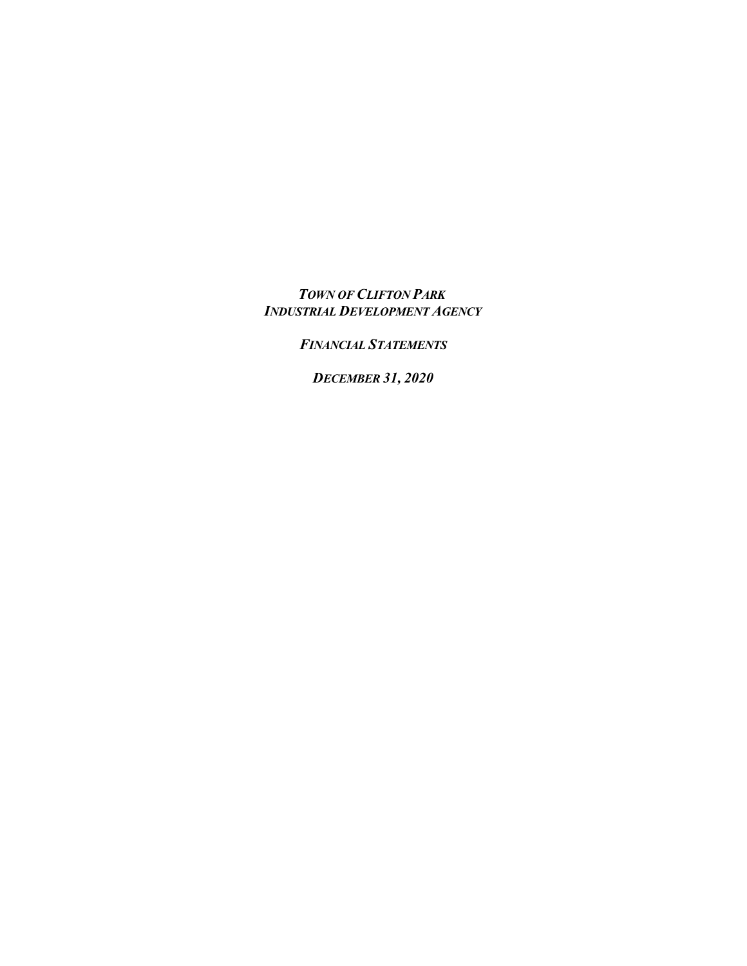*TOWN OF CLIFTON PARK INDUSTRIAL DEVELOPMENT AGENCY*

*FINANCIAL STATEMENTS*

*DECEMBER 31, 2020*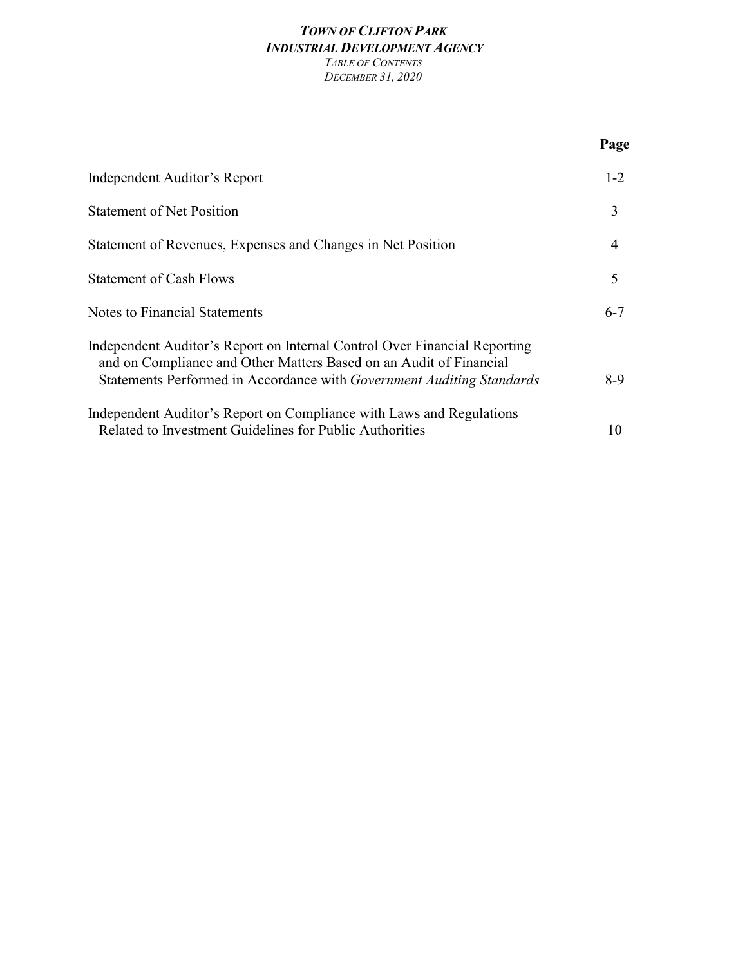#### *TOWN OF CLIFTON PARK INDUSTRIAL DEVELOPMENT AGENCY TABLE OF CONTENTS DECEMBER 31, 2020*

|                                                                                                                                                                                                                                 | Page           |
|---------------------------------------------------------------------------------------------------------------------------------------------------------------------------------------------------------------------------------|----------------|
| Independent Auditor's Report                                                                                                                                                                                                    | $1 - 2$        |
| <b>Statement of Net Position</b>                                                                                                                                                                                                | 3              |
| Statement of Revenues, Expenses and Changes in Net Position                                                                                                                                                                     | $\overline{4}$ |
| <b>Statement of Cash Flows</b>                                                                                                                                                                                                  | 5              |
| <b>Notes to Financial Statements</b>                                                                                                                                                                                            | $6 - 7$        |
| Independent Auditor's Report on Internal Control Over Financial Reporting<br>and on Compliance and Other Matters Based on an Audit of Financial<br>Statements Performed in Accordance with <i>Government Auditing Standards</i> | $8-9$          |
| Independent Auditor's Report on Compliance with Laws and Regulations<br>Related to Investment Guidelines for Public Authorities                                                                                                 | 10             |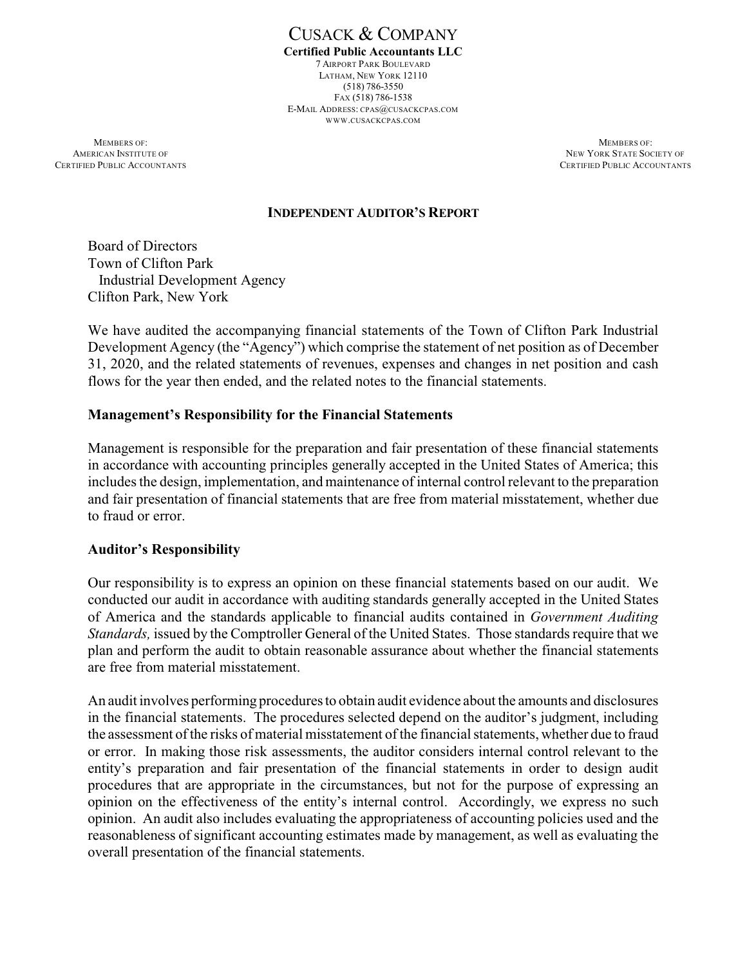CUSACK & COMPANY **Certified Public Accountants LLC** 7 AIRPORT PARK BOULEVARD LATHAM, NEW YORK 12110 (518) 786-3550 FAX (518) 786-1538 E-MAIL ADDRESS: CPAS@CUSACKCPAS.COM WWW.CUSACKCPAS.COM

**MEMBERS OF:** MEMBERS OF: CERTIFIED PUBLIC ACCOUNTANTS CERTIFIED PUBLIC ACCOUNTANTS

**AMERICAN INSTITUTE OF NEW YORK STATE SOCIETY OF NEW YORK STATE SOCIETY OF** 

#### **INDEPENDENT AUDITOR'S REPORT**

Board of Directors Town of Clifton Park Industrial Development Agency Clifton Park, New York

We have audited the accompanying financial statements of the Town of Clifton Park Industrial Development Agency (the "Agency") which comprise the statement of net position as of December 31, 2020, and the related statements of revenues, expenses and changes in net position and cash flows for the year then ended, and the related notes to the financial statements.

#### **Management's Responsibility for the Financial Statements**

Management is responsible for the preparation and fair presentation of these financial statements in accordance with accounting principles generally accepted in the United States of America; this includes the design, implementation, and maintenance of internal control relevant to the preparation and fair presentation of financial statements that are free from material misstatement, whether due to fraud or error.

#### **Auditor's Responsibility**

Our responsibility is to express an opinion on these financial statements based on our audit. We conducted our audit in accordance with auditing standards generally accepted in the United States of America and the standards applicable to financial audits contained in *Government Auditing Standards,* issued by the Comptroller General of the United States. Those standards require that we plan and perform the audit to obtain reasonable assurance about whether the financial statements are free from material misstatement.

An audit involves performing procedures to obtain audit evidence about the amounts and disclosures in the financial statements. The procedures selected depend on the auditor's judgment, including the assessment of the risks of material misstatement of the financial statements, whether due to fraud or error. In making those risk assessments, the auditor considers internal control relevant to the entity's preparation and fair presentation of the financial statements in order to design audit procedures that are appropriate in the circumstances, but not for the purpose of expressing an opinion on the effectiveness of the entity's internal control. Accordingly, we express no such opinion. An audit also includes evaluating the appropriateness of accounting policies used and the reasonableness of significant accounting estimates made by management, as well as evaluating the overall presentation of the financial statements.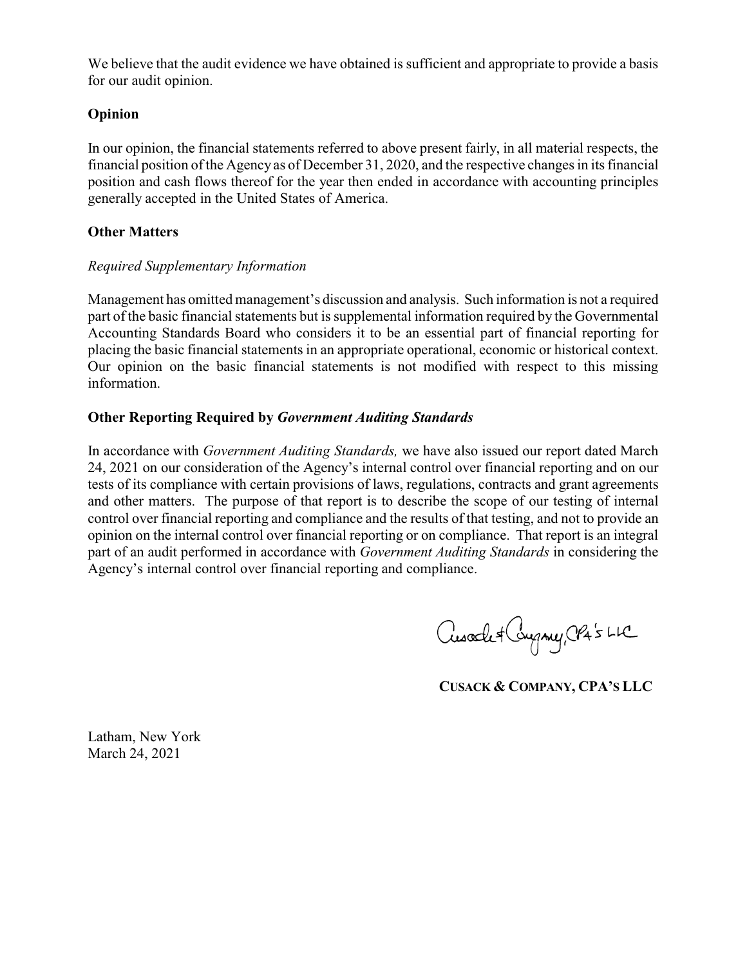We believe that the audit evidence we have obtained is sufficient and appropriate to provide a basis for our audit opinion.

### **Opinion**

In our opinion, the financial statements referred to above present fairly, in all material respects, the financial position of the Agency as of December 31, 2020, and the respective changes in its financial position and cash flows thereof for the year then ended in accordance with accounting principles generally accepted in the United States of America.

### **Other Matters**

#### *Required Supplementary Information*

Management has omitted management's discussion and analysis. Such information is not a required part of the basic financial statements but is supplemental information required by the Governmental Accounting Standards Board who considers it to be an essential part of financial reporting for placing the basic financial statements in an appropriate operational, economic or historical context. Our opinion on the basic financial statements is not modified with respect to this missing information.

## **Other Reporting Required by** *Government Auditing Standards*

In accordance with *Government Auditing Standards,* we have also issued our report dated March 24, 2021 on our consideration of the Agency's internal control over financial reporting and on our tests of its compliance with certain provisions of laws, regulations, contracts and grant agreements and other matters. The purpose of that report is to describe the scope of our testing of internal control over financial reporting and compliance and the results of that testing, and not to provide an opinion on the internal control over financial reporting or on compliance. That report is an integral part of an audit performed in accordance with *Government Auditing Standards* in considering the Agency's internal control over financial reporting and compliance.

Cusade + Congney, CP4's LLC

**CUSACK & COMPANY, CPA'S LLC**

Latham, New York March 24, 2021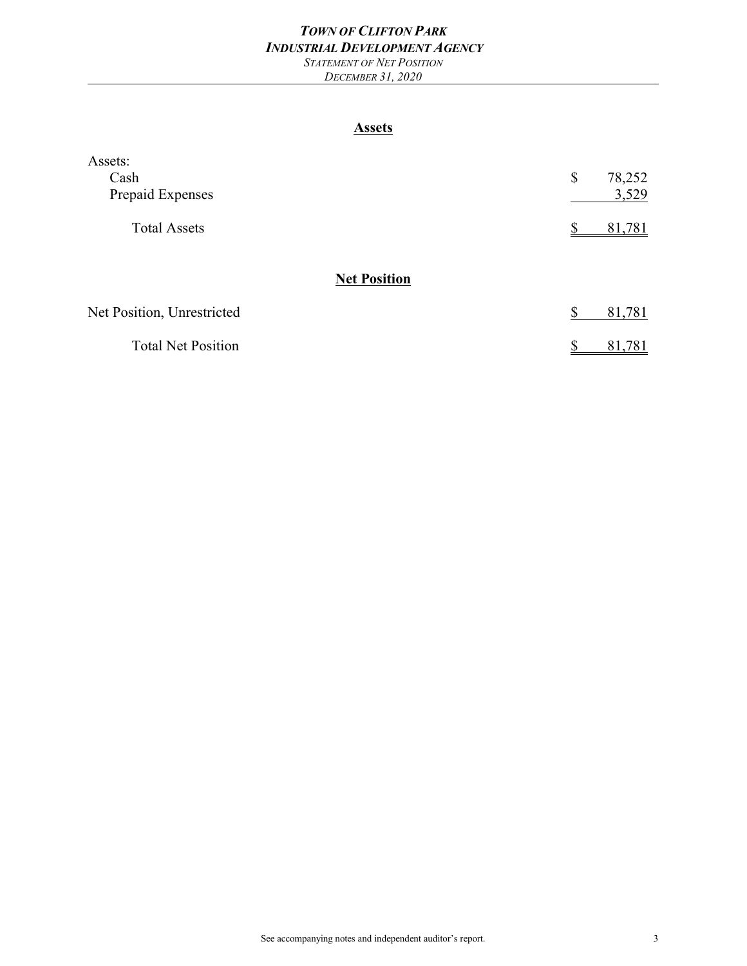#### *TOWN OF CLIFTON PARK INDUSTRIAL DEVELOPMENT AGENCY STATEMENT OF NET POSITION*

*DECEMBER 31, 2020*

#### **Assets**

| Assets:                    |    |        |
|----------------------------|----|--------|
| Cash                       | \$ | 78,252 |
| Prepaid Expenses           |    | 3,529  |
| <b>Total Assets</b>        |    | 81,781 |
| <b>Net Position</b>        |    |        |
| Net Position, Unrestricted | S  | 81,781 |
| <b>Total Net Position</b>  | ◐  | 81,781 |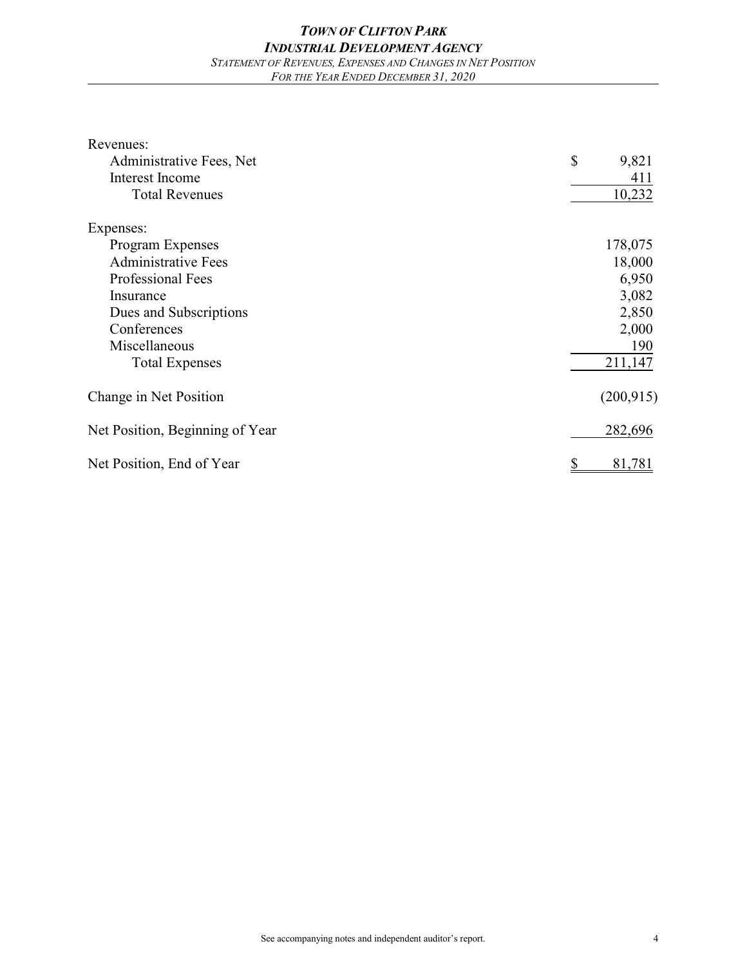| Revenues:                       |                       |
|---------------------------------|-----------------------|
| Administrative Fees, Net        | $\mathbb{S}$<br>9,821 |
| <b>Interest Income</b>          | 411                   |
| <b>Total Revenues</b>           | 10,232                |
| Expenses:                       |                       |
| Program Expenses                | 178,075               |
| <b>Administrative Fees</b>      | 18,000                |
| Professional Fees               | 6,950                 |
| Insurance                       | 3,082                 |
| Dues and Subscriptions          | 2,850                 |
| Conferences                     | 2,000                 |
| Miscellaneous                   | 190                   |
| <b>Total Expenses</b>           | 211,147               |
| Change in Net Position          | (200, 915)            |
| Net Position, Beginning of Year | 282,696               |
| Net Position, End of Year       | 81,781                |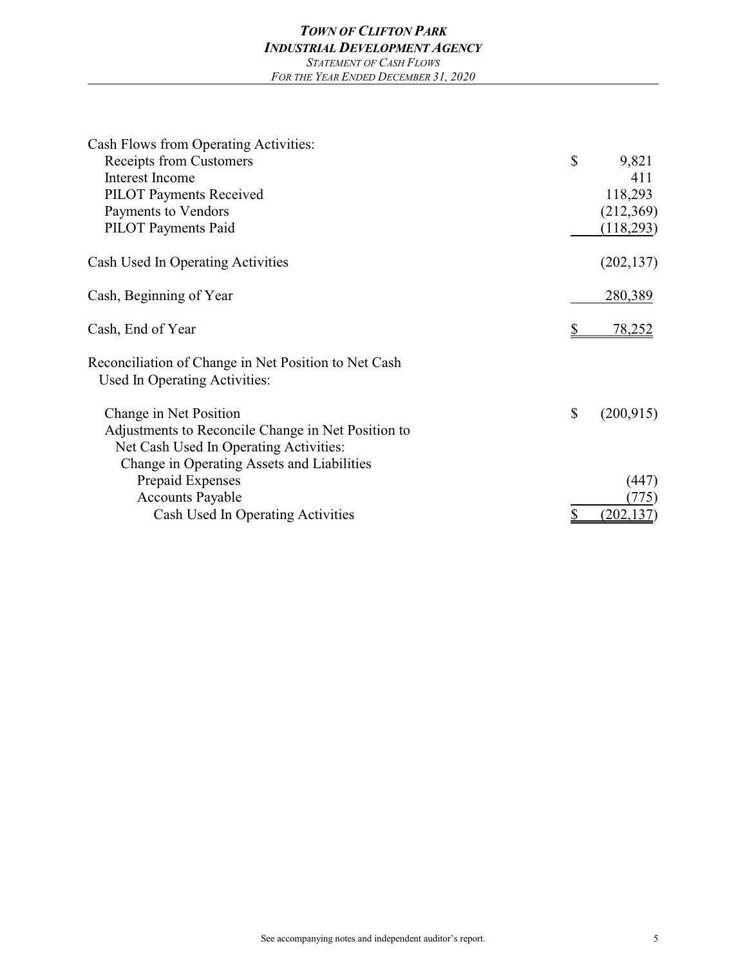| Cash Flows from Operating Activities:                                                 |           |               |
|---------------------------------------------------------------------------------------|-----------|---------------|
| Receipts from Customers                                                               | \$        | 9,821         |
| Interest Income                                                                       |           | 411           |
| <b>PILOT Payments Received</b>                                                        |           | 118,293       |
| Payments to Vendors                                                                   |           | (212,369)     |
| <b>PILOT</b> Payments Paid                                                            |           | (118,293)     |
| Cash Used In Operating Activities                                                     |           | (202, 137)    |
| Cash, Beginning of Year                                                               |           | 280,389       |
| Cash, End of Year                                                                     |           | <u>78,252</u> |
| Reconciliation of Change in Net Position to Net Cash<br>Used In Operating Activities: |           |               |
| Change in Net Position                                                                | \$        | (200, 915)    |
| Adjustments to Reconcile Change in Net Position to                                    |           |               |
| Net Cash Used In Operating Activities:                                                |           |               |
| Change in Operating Assets and Liabilities                                            |           |               |
| Prepaid Expenses                                                                      |           | (447)         |
| <b>Accounts Payable</b>                                                               |           | (775)         |
| Cash Used In Operating Activities                                                     | <u>\$</u> | (202, 137)    |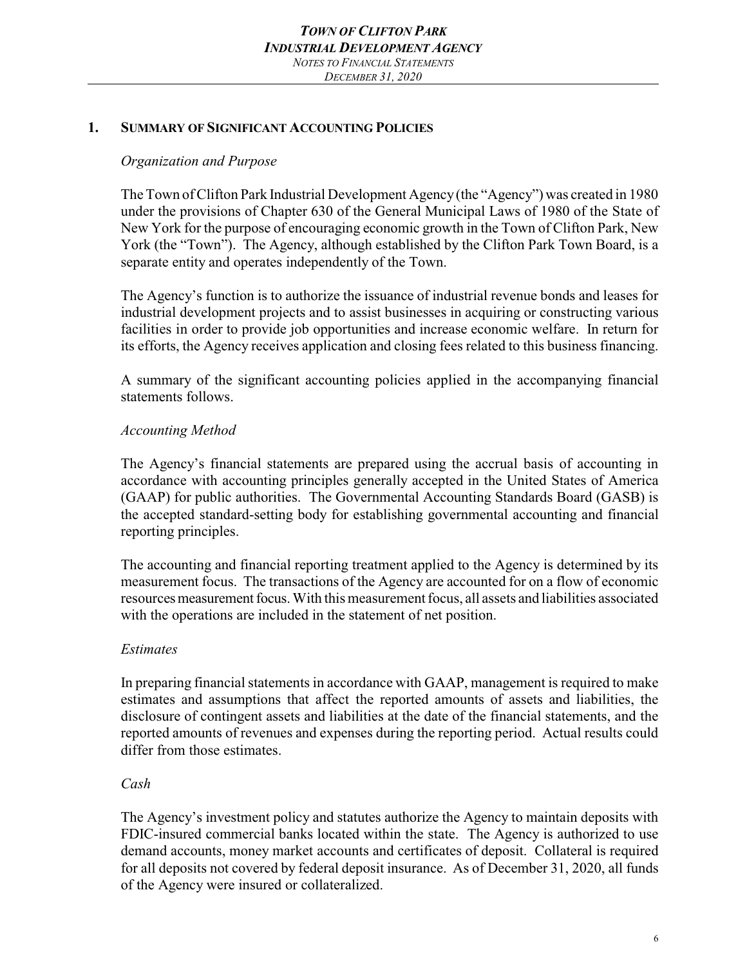#### **1. SUMMARY OF SIGNIFICANT ACCOUNTING POLICIES**

### *Organization and Purpose*

The Town of Clifton Park Industrial Development Agency(the "Agency") was created in 1980 under the provisions of Chapter 630 of the General Municipal Laws of 1980 of the State of New York for the purpose of encouraging economic growth in the Town of Clifton Park, New York (the "Town"). The Agency, although established by the Clifton Park Town Board, is a separate entity and operates independently of the Town.

The Agency's function is to authorize the issuance of industrial revenue bonds and leases for industrial development projects and to assist businesses in acquiring or constructing various facilities in order to provide job opportunities and increase economic welfare. In return for its efforts, the Agency receives application and closing fees related to this business financing.

A summary of the significant accounting policies applied in the accompanying financial statements follows.

### *Accounting Method*

The Agency's financial statements are prepared using the accrual basis of accounting in accordance with accounting principles generally accepted in the United States of America (GAAP) for public authorities. The Governmental Accounting Standards Board (GASB) is the accepted standard-setting body for establishing governmental accounting and financial reporting principles.

The accounting and financial reporting treatment applied to the Agency is determined by its measurement focus. The transactions of the Agency are accounted for on a flow of economic resources measurement focus. With this measurement focus, all assets and liabilities associated with the operations are included in the statement of net position.

#### *Estimates*

In preparing financial statements in accordance with GAAP, management is required to make estimates and assumptions that affect the reported amounts of assets and liabilities, the disclosure of contingent assets and liabilities at the date of the financial statements, and the reported amounts of revenues and expenses during the reporting period. Actual results could differ from those estimates.

## *Cash*

The Agency's investment policy and statutes authorize the Agency to maintain deposits with FDIC-insured commercial banks located within the state. The Agency is authorized to use demand accounts, money market accounts and certificates of deposit. Collateral is required for all deposits not covered by federal deposit insurance. As of December 31, 2020, all funds of the Agency were insured or collateralized.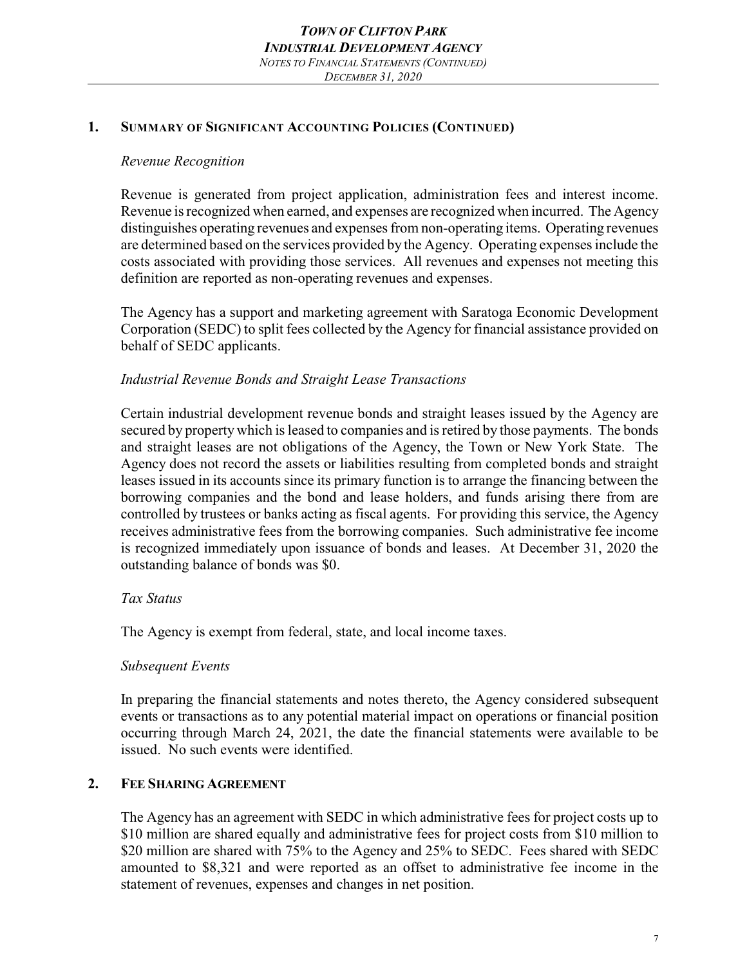## **1. SUMMARY OF SIGNIFICANT ACCOUNTING POLICIES (CONTINUED)**

## *Revenue Recognition*

Revenue is generated from project application, administration fees and interest income. Revenue is recognized when earned, and expenses are recognized when incurred. The Agency distinguishes operating revenues and expenses from non-operating items. Operating revenues are determined based on the services provided by the Agency. Operating expenses include the costs associated with providing those services. All revenues and expenses not meeting this definition are reported as non-operating revenues and expenses.

The Agency has a support and marketing agreement with Saratoga Economic Development Corporation (SEDC) to split fees collected by the Agency for financial assistance provided on behalf of SEDC applicants.

# *Industrial Revenue Bonds and Straight Lease Transactions*

Certain industrial development revenue bonds and straight leases issued by the Agency are secured by property which is leased to companies and is retired by those payments. The bonds and straight leases are not obligations of the Agency, the Town or New York State. The Agency does not record the assets or liabilities resulting from completed bonds and straight leases issued in its accounts since its primary function is to arrange the financing between the borrowing companies and the bond and lease holders, and funds arising there from are controlled by trustees or banks acting as fiscal agents. For providing this service, the Agency receives administrative fees from the borrowing companies. Such administrative fee income is recognized immediately upon issuance of bonds and leases. At December 31, 2020 the outstanding balance of bonds was \$0.

# *Tax Status*

The Agency is exempt from federal, state, and local income taxes.

# *Subsequent Events*

In preparing the financial statements and notes thereto, the Agency considered subsequent events or transactions as to any potential material impact on operations or financial position occurring through March 24, 2021, the date the financial statements were available to be issued. No such events were identified.

# **2. FEE SHARING AGREEMENT**

The Agency has an agreement with SEDC in which administrative fees for project costs up to \$10 million are shared equally and administrative fees for project costs from \$10 million to \$20 million are shared with 75% to the Agency and 25% to SEDC. Fees shared with SEDC amounted to \$8,321 and were reported as an offset to administrative fee income in the statement of revenues, expenses and changes in net position.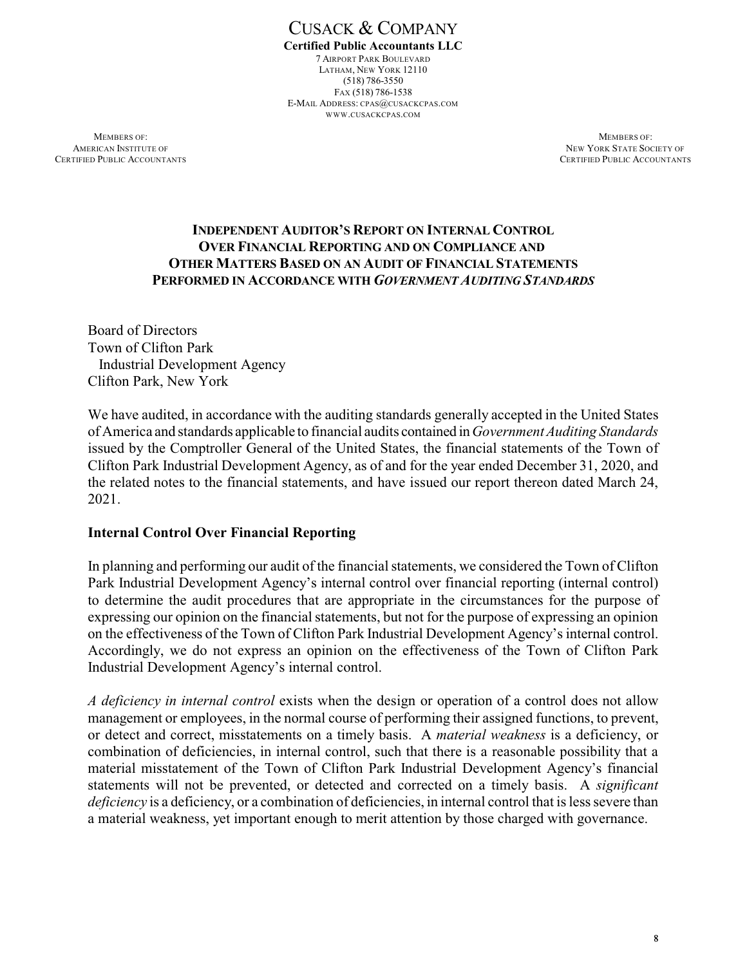CUSACK & COMPANY **Certified Public Accountants LLC** 7 AIRPORT PARK BOULEVARD LATHAM, NEW YORK 12110 (518) 786-3550 FAX (518) 786-1538 E-MAIL ADDRESS: CPAS@CUSACKCPAS.COM WWW.CUSACKCPAS.COM

**MEMBERS OF:** MEMBERS OF: **AMERICAN INSTITUTE OF NEW YORK STATE SOCIETY OF NEW YORK STATE SOCIETY OF** CERTIFIED PUBLIC ACCOUNTANTS CERTIFIED PUBLIC ACCOUNTANTS

## **INDEPENDENT AUDITOR'S REPORT ON INTERNAL CONTROL OVER FINANCIAL REPORTING AND ON COMPLIANCE AND OTHER MATTERS BASED ON AN AUDIT OF FINANCIAL STATEMENTS PERFORMED IN ACCORDANCE WITH** *GOVERNMENT AUDITING STANDARDS*

Board of Directors Town of Clifton Park Industrial Development Agency Clifton Park, New York

We have audited, in accordance with the auditing standards generally accepted in the United States of America and standards applicable to financial audits contained in*Government Auditing Standards* issued by the Comptroller General of the United States, the financial statements of the Town of Clifton Park Industrial Development Agency, as of and for the year ended December 31, 2020, and the related notes to the financial statements, and have issued our report thereon dated March 24, 2021.

## **Internal Control Over Financial Reporting**

In planning and performing our audit of the financial statements, we considered the Town of Clifton Park Industrial Development Agency's internal control over financial reporting (internal control) to determine the audit procedures that are appropriate in the circumstances for the purpose of expressing our opinion on the financial statements, but not for the purpose of expressing an opinion on the effectiveness of the Town of Clifton Park Industrial Development Agency's internal control. Accordingly, we do not express an opinion on the effectiveness of the Town of Clifton Park Industrial Development Agency's internal control.

*A deficiency in internal control* exists when the design or operation of a control does not allow management or employees, in the normal course of performing their assigned functions, to prevent, or detect and correct, misstatements on a timely basis. A *material weakness* is a deficiency, or combination of deficiencies, in internal control, such that there is a reasonable possibility that a material misstatement of the Town of Clifton Park Industrial Development Agency's financial statements will not be prevented, or detected and corrected on a timely basis. A *significant deficiency* is a deficiency, or a combination of deficiencies, in internal control that is less severe than a material weakness, yet important enough to merit attention by those charged with governance.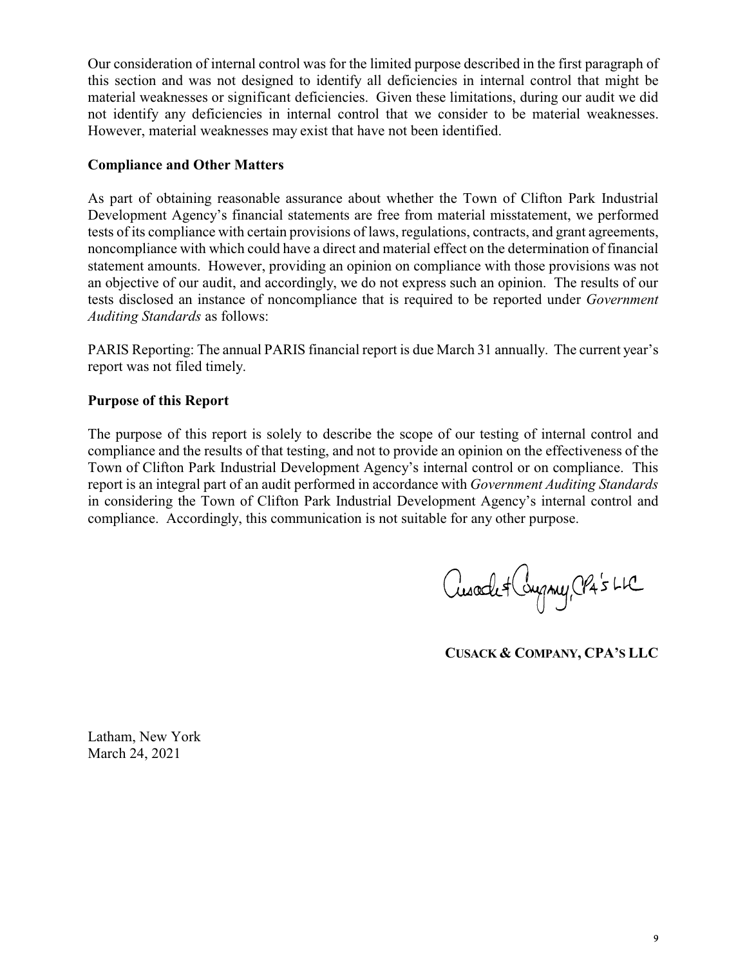Our consideration of internal control was for the limited purpose described in the first paragraph of this section and was not designed to identify all deficiencies in internal control that might be material weaknesses or significant deficiencies. Given these limitations, during our audit we did not identify any deficiencies in internal control that we consider to be material weaknesses. However, material weaknesses may exist that have not been identified.

### **Compliance and Other Matters**

As part of obtaining reasonable assurance about whether the Town of Clifton Park Industrial Development Agency's financial statements are free from material misstatement, we performed tests of its compliance with certain provisions of laws, regulations, contracts, and grant agreements, noncompliance with which could have a direct and material effect on the determination of financial statement amounts. However, providing an opinion on compliance with those provisions was not an objective of our audit, and accordingly, we do not express such an opinion. The results of our tests disclosed an instance of noncompliance that is required to be reported under *Government Auditing Standards* as follows:

PARIS Reporting: The annual PARIS financial report is due March 31 annually. The current year's report was not filed timely.

### **Purpose of this Report**

The purpose of this report is solely to describe the scope of our testing of internal control and compliance and the results of that testing, and not to provide an opinion on the effectiveness of the Town of Clifton Park Industrial Development Agency's internal control or on compliance. This report is an integral part of an audit performed in accordance with *Government Auditing Standards* in considering the Town of Clifton Park Industrial Development Agency's internal control and compliance. Accordingly, this communication is not suitable for any other purpose.

Cusade + Company, CPA's LLC

**CUSACK & COMPANY, CPA'S LLC**

Latham, New York March 24, 2021